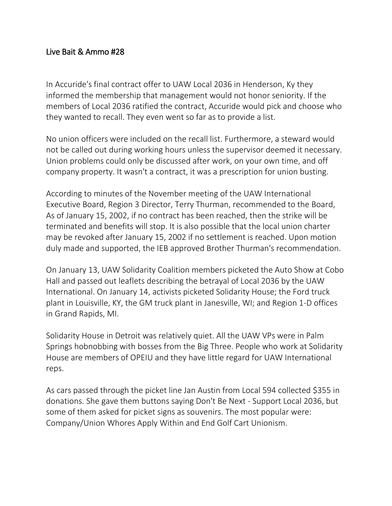## Live Bait & Ammo #28

In Accuride's final contract offer to UAW Local 2036 in Henderson, Ky they informed the membership that management would not honor seniority. If the members of Local 2036 ratified the contract, Accuride would pick and choose who they wanted to recall. They even went so far as to provide a list.

No union officers were included on the recall list. Furthermore, a steward would not be called out during working hours unless the supervisor deemed it necessary. Union problems could only be discussed after work, on your own time, and off company property. It wasn't a contract, it was a prescription for union busting.

According to minutes of the November meeting of the UAW International Executive Board, Region 3 Director, Terry Thurman, recommended to the Board, As of January 15, 2002, if no contract has been reached, then the strike will be terminated and benefits will stop. It is also possible that the local union charter may be revoked after January 15, 2002 if no settlement is reached. Upon motion duly made and supported, the IEB approved Brother Thurman's recommendation.

On January 13, UAW Solidarity Coalition members picketed the Auto Show at Cobo Hall and passed out leaflets describing the betrayal of Local 2036 by the UAW International. On January 14, activists picketed Solidarity House; the Ford truck plant in Louisville, KY, the GM truck plant in Janesville, WI; and Region 1-D offices in Grand Rapids, MI.

Solidarity House in Detroit was relatively quiet. All the UAW VPs were in Palm Springs hobnobbing with bosses from the Big Three. People who work at Solidarity House are members of OPEIU and they have little regard for UAW International reps.

As cars passed through the picket line Jan Austin from Local 594 collected \$355 in donations. She gave them buttons saying Don't Be Next - Support Local 2036, but some of them asked for picket signs as souvenirs. The most popular were: Company/Union Whores Apply Within and End Golf Cart Unionism.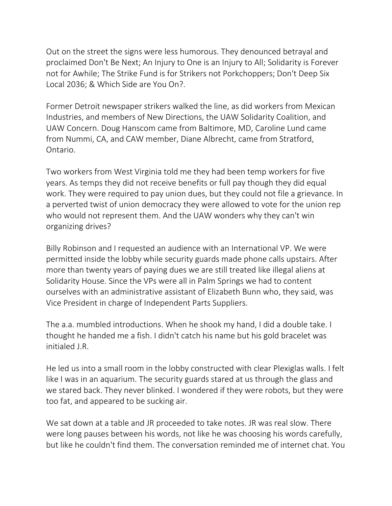Out on the street the signs were less humorous. They denounced betrayal and proclaimed Don't Be Next; An Injury to One is an Injury to All; Solidarity is Forever not for Awhile; The Strike Fund is for Strikers not Porkchoppers; Don't Deep Six Local 2036; & Which Side are You On?.

Former Detroit newspaper strikers walked the line, as did workers from Mexican Industries, and members of New Directions, the UAW Solidarity Coalition, and UAW Concern. Doug Hanscom came from Baltimore, MD, Caroline Lund came from Nummi, CA, and CAW member, Diane Albrecht, came from Stratford, Ontario.

Two workers from West Virginia told me they had been temp workers for five years. As temps they did not receive benefits or full pay though they did equal work. They were required to pay union dues, but they could not file a grievance. In a perverted twist of union democracy they were allowed to vote for the union rep who would not represent them. And the UAW wonders why they can't win organizing drives?

Billy Robinson and I requested an audience with an International VP. We were permitted inside the lobby while security guards made phone calls upstairs. After more than twenty years of paying dues we are still treated like illegal aliens at Solidarity House. Since the VPs were all in Palm Springs we had to content ourselves with an administrative assistant of Elizabeth Bunn who, they said, was Vice President in charge of Independent Parts Suppliers.

The a.a. mumbled introductions. When he shook my hand, I did a double take. I thought he handed me a fish. I didn't catch his name but his gold bracelet was initialed J.R.

He led us into a small room in the lobby constructed with clear Plexiglas walls. I felt like I was in an aquarium. The security guards stared at us through the glass and we stared back. They never blinked. I wondered if they were robots, but they were too fat, and appeared to be sucking air.

We sat down at a table and JR proceeded to take notes. JR was real slow. There were long pauses between his words, not like he was choosing his words carefully, but like he couldn't find them. The conversation reminded me of internet chat. You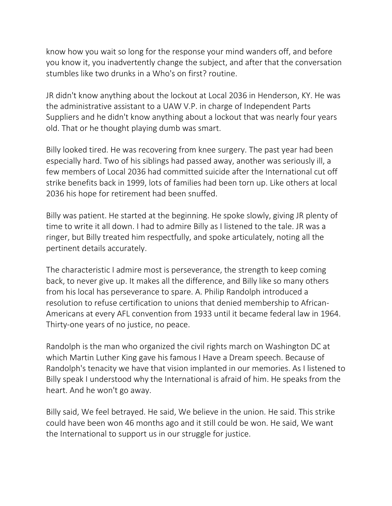know how you wait so long for the response your mind wanders off, and before you know it, you inadvertently change the subject, and after that the conversation stumbles like two drunks in a Who's on first? routine.

JR didn't know anything about the lockout at Local 2036 in Henderson, KY. He was the administrative assistant to a UAW V.P. in charge of Independent Parts Suppliers and he didn't know anything about a lockout that was nearly four years old. That or he thought playing dumb was smart.

Billy looked tired. He was recovering from knee surgery. The past year had been especially hard. Two of his siblings had passed away, another was seriously ill, a few members of Local 2036 had committed suicide after the International cut off strike benefits back in 1999, lots of families had been torn up. Like others at local 2036 his hope for retirement had been snuffed.

Billy was patient. He started at the beginning. He spoke slowly, giving JR plenty of time to write it all down. I had to admire Billy as I listened to the tale. JR was a ringer, but Billy treated him respectfully, and spoke articulately, noting all the pertinent details accurately.

The characteristic I admire most is perseverance, the strength to keep coming back, to never give up. It makes all the difference, and Billy like so many others from his local has perseverance to spare. A. Philip Randolph introduced a resolution to refuse certification to unions that denied membership to African-Americans at every AFL convention from 1933 until it became federal law in 1964. Thirty-one years of no justice, no peace.

Randolph is the man who organized the civil rights march on Washington DC at which Martin Luther King gave his famous I Have a Dream speech. Because of Randolph's tenacity we have that vision implanted in our memories. As I listened to Billy speak I understood why the International is afraid of him. He speaks from the heart. And he won't go away.

Billy said, We feel betrayed. He said, We believe in the union. He said. This strike could have been won 46 months ago and it still could be won. He said, We want the International to support us in our struggle for justice.